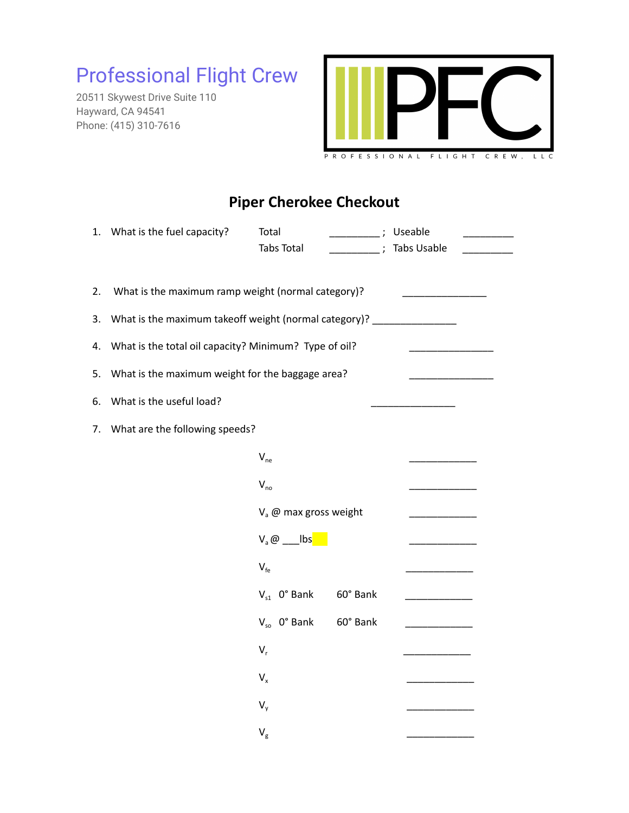## Professional Flight Crew

20511 Skywest Drive Suite 110 Hayward, CA 94541 Phone: (415) 310-7616



## **Piper Cherokee Checkout**

|    | 1. What is the fuel capacity?                                        | Total<br>$\overline{\phantom{a}}$ ;<br>Tabs Total<br>$\overline{\phantom{a}}$ ; | Useable<br>Tabs Usable    |
|----|----------------------------------------------------------------------|---------------------------------------------------------------------------------|---------------------------|
| 2. | What is the maximum ramp weight (normal category)?                   |                                                                                 |                           |
| 3. | What is the maximum takeoff weight (normal category)? ______________ |                                                                                 |                           |
| 4. | What is the total oil capacity? Minimum? Type of oil?                |                                                                                 |                           |
| 5. | What is the maximum weight for the baggage area?                     |                                                                                 |                           |
| 6. | What is the useful load?                                             |                                                                                 |                           |
| 7. | What are the following speeds?                                       |                                                                                 |                           |
|    |                                                                      | $V_{ne}$                                                                        |                           |
|    |                                                                      | $V_{no}$                                                                        |                           |
|    |                                                                      | V <sub>a</sub> @ max gross weight                                               |                           |
|    |                                                                      | $V_a @ \_\_ \text{lbs}$                                                         |                           |
|    |                                                                      | $V_{fe}$                                                                        |                           |
|    |                                                                      | $V_{s1}$ 0° Bank<br>60° Bank                                                    | <u> 2002 - 2003 - 200</u> |
|    |                                                                      | $V_{so}$ 0° Bank<br>60° Bank                                                    |                           |
|    |                                                                      | $V_r$                                                                           |                           |
|    |                                                                      | $V_{x}$                                                                         |                           |
|    |                                                                      | $V_{v}$                                                                         |                           |
|    |                                                                      | $\mathsf{V}_{\mathsf{g}}$                                                       |                           |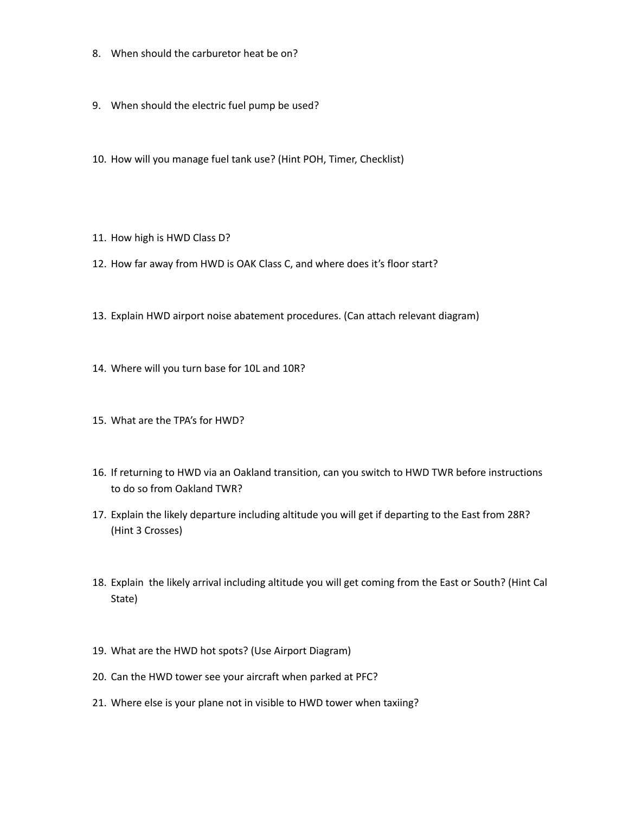- 8. When should the carburetor heat be on?
- 9. When should the electric fuel pump be used?
- 10. How will you manage fuel tank use? (Hint POH, Timer, Checklist)
- 11. How high is HWD Class D?
- 12. How far away from HWD is OAK Class C, and where does it's floor start?
- 13. Explain HWD airport noise abatement procedures. (Can attach relevant diagram)
- 14. Where will you turn base for 10L and 10R?
- 15. What are the TPA's for HWD?
- 16. If returning to HWD via an Oakland transition, can you switch to HWD TWR before instructions to do so from Oakland TWR?
- 17. Explain the likely departure including altitude you will get if departing to the East from 28R? (Hint 3 Crosses)
- 18. Explain the likely arrival including altitude you will get coming from the East or South? (Hint Cal State)
- 19. What are the HWD hot spots? (Use Airport Diagram)
- 20. Can the HWD tower see your aircraft when parked at PFC?
- 21. Where else is your plane not in visible to HWD tower when taxiing?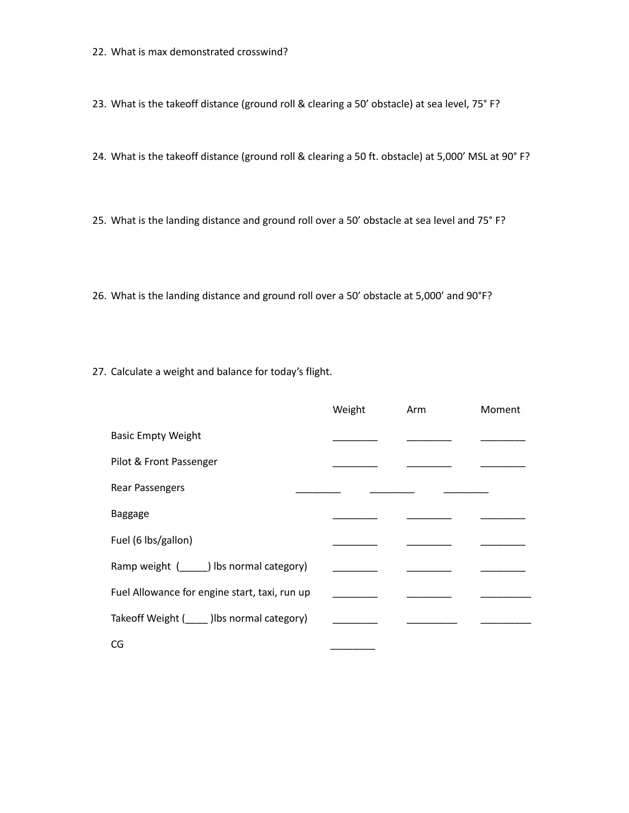22. What is max demonstrated crosswind?

23. What is the takeoff distance (ground roll & clearing a 50' obstacle) at sea level, 75° F?

24. What is the takeoff distance (ground roll & clearing a 50 ft. obstacle) at 5,000' MSL at 90° F?

25. What is the landing distance and ground roll over a 50' obstacle at sea level and 75° F?

26. What is the landing distance and ground roll over a 50' obstacle at 5,000' and 90°F?

27. Calculate a weight and balance for today's flight.

|                                                        | Weight | Arm | Moment |
|--------------------------------------------------------|--------|-----|--------|
| <b>Basic Empty Weight</b>                              |        |     |        |
| Pilot & Front Passenger                                |        |     |        |
| <b>Rear Passengers</b>                                 |        |     |        |
| <b>Baggage</b>                                         |        |     |        |
| Fuel (6 lbs/gallon)                                    |        |     |        |
| Ramp weight (Superly 1) Ibs normal category)           |        |     |        |
| Fuel Allowance for engine start, taxi, run up          |        |     |        |
| Takeoff Weight (Superlingtillum ) Ibs normal category) |        |     |        |
| CG                                                     |        |     |        |